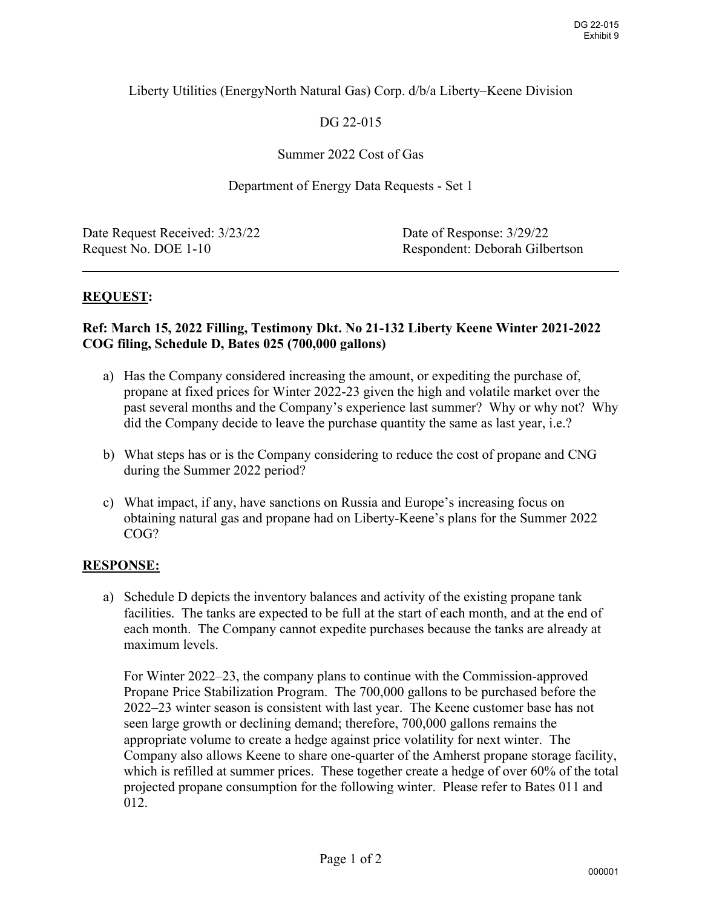## Liberty Utilities (EnergyNorth Natural Gas) Corp. d/b/a Liberty–Keene Division

# DG 22-015

## Summer 2022 Cost of Gas

#### Department of Energy Data Requests - Set 1

| Date Request Received: 3/23/22 | Date of Response: 3/29/22      |
|--------------------------------|--------------------------------|
| Request No. DOE 1-10           | Respondent: Deborah Gilbertson |
|                                |                                |

## **REQUEST:**

#### **Ref: March 15, 2022 Filling, Testimony Dkt. No 21-132 Liberty Keene Winter 2021-2022 COG filing, Schedule D, Bates 025 (700,000 gallons)**

- a) Has the Company considered increasing the amount, or expediting the purchase of, propane at fixed prices for Winter 2022-23 given the high and volatile market over the past several months and the Company's experience last summer? Why or why not? Why did the Company decide to leave the purchase quantity the same as last year, i.e.?
- b) What steps has or is the Company considering to reduce the cost of propane and CNG during the Summer 2022 period?
- c) What impact, if any, have sanctions on Russia and Europe's increasing focus on obtaining natural gas and propane had on Liberty-Keene's plans for the Summer 2022 COG?

## **RESPONSE:**

a) Schedule D depicts the inventory balances and activity of the existing propane tank facilities. The tanks are expected to be full at the start of each month, and at the end of each month. The Company cannot expedite purchases because the tanks are already at maximum levels.

For Winter 2022–23, the company plans to continue with the Commission-approved Propane Price Stabilization Program. The 700,000 gallons to be purchased before the 2022–23 winter season is consistent with last year. The Keene customer base has not seen large growth or declining demand; therefore, 700,000 gallons remains the appropriate volume to create a hedge against price volatility for next winter. The Company also allows Keene to share one-quarter of the Amherst propane storage facility, which is refilled at summer prices. These together create a hedge of over 60% of the total projected propane consumption for the following winter. Please refer to Bates 011 and 012.